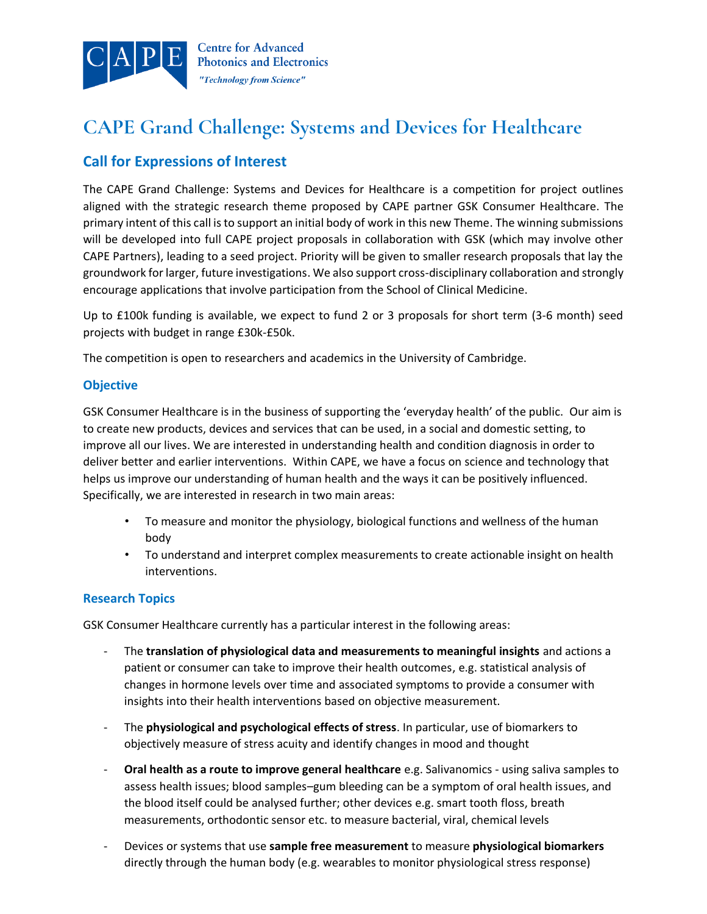

# **CAPE Grand Challenge: Systems and Devices for Healthcare**

## **Call for Expressions of Interest**

The CAPE Grand Challenge: Systems and Devices for Healthcare is a competition for project outlines aligned with the strategic research theme proposed by CAPE partner GSK Consumer Healthcare. The primary intent of this call is to support an initial body of work in this new Theme. The winning submissions will be developed into full CAPE project proposals in collaboration with GSK (which may involve other CAPE Partners), leading to a seed project. Priority will be given to smaller research proposals that lay the groundwork for larger, future investigations. We also support cross-disciplinary collaboration and strongly encourage applications that involve participation from the School of Clinical Medicine.

Up to £100k funding is available, we expect to fund 2 or 3 proposals for short term (3-6 month) seed projects with budget in range £30k-£50k.

The competition is open to researchers and academics in the University of Cambridge.

## **Objective**

GSK Consumer Healthcare is in the business of supporting the 'everyday health' of the public. Our aim is to create new products, devices and services that can be used, in a social and domestic setting, to improve all our lives. We are interested in understanding health and condition diagnosis in order to deliver better and earlier interventions. Within CAPE, we have a focus on science and technology that helps us improve our understanding of human health and the ways it can be positively influenced. Specifically, we are interested in research in two main areas:

- To measure and monitor the physiology, biological functions and wellness of the human body
- To understand and interpret complex measurements to create actionable insight on health interventions.

## **Research Topics**

GSK Consumer Healthcare currently has a particular interest in the following areas:

- The **translation of physiological data and measurements to meaningful insights** and actions a patient or consumer can take to improve their health outcomes, e.g. statistical analysis of changes in hormone levels over time and associated symptoms to provide a consumer with insights into their health interventions based on objective measurement.
- The **physiological and psychological effects of stress**. In particular, use of biomarkers to objectively measure of stress acuity and identify changes in mood and thought
- **Oral health as a route to improve general healthcare** e.g. Salivanomics using saliva samples to assess health issues; blood samples–gum bleeding can be a symptom of oral health issues, and the blood itself could be analysed further; other devices e.g. smart tooth floss, breath measurements, orthodontic sensor etc. to measure bacterial, viral, chemical levels
- Devices or systems that use **sample free measurement** to measure **physiological biomarkers** directly through the human body (e.g. wearables to monitor physiological stress response)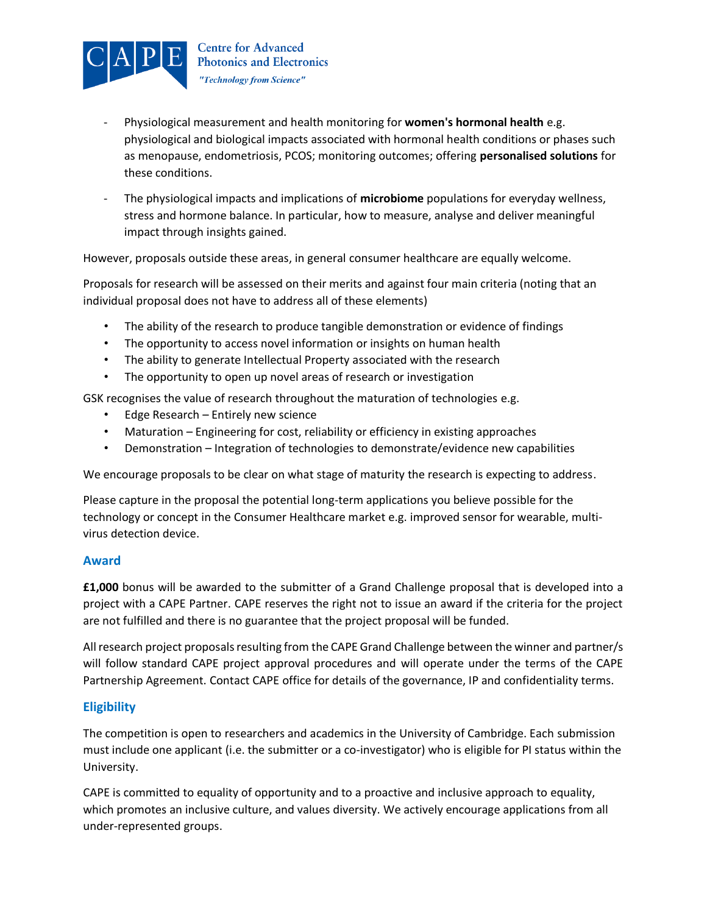

- Physiological measurement and health monitoring for **women's hormonal health** e.g. physiological and biological impacts associated with hormonal health conditions or phases such as menopause, endometriosis, PCOS; monitoring outcomes; offering **personalised solutions** for these conditions.
- The physiological impacts and implications of **microbiome** populations for everyday wellness, stress and hormone balance. In particular, how to measure, analyse and deliver meaningful impact through insights gained.

However, proposals outside these areas, in general consumer healthcare are equally welcome.

Proposals for research will be assessed on their merits and against four main criteria (noting that an individual proposal does not have to address all of these elements)

- The ability of the research to produce tangible demonstration or evidence of findings
- The opportunity to access novel information or insights on human health
- The ability to generate Intellectual Property associated with the research
- The opportunity to open up novel areas of research or investigation

GSK recognises the value of research throughout the maturation of technologies e.g.

- Edge Research Entirely new science
- Maturation Engineering for cost, reliability or efficiency in existing approaches
- Demonstration Integration of technologies to demonstrate/evidence new capabilities

We encourage proposals to be clear on what stage of maturity the research is expecting to address.

Please capture in the proposal the potential long-term applications you believe possible for the technology or concept in the Consumer Healthcare market e.g. improved sensor for wearable, multivirus detection device.

## **Award**

**£1,000** bonus will be awarded to the submitter of a Grand Challenge proposal that is developed into a project with a CAPE Partner. CAPE reserves the right not to issue an award if the criteria for the project are not fulfilled and there is no guarantee that the project proposal will be funded.

All research project proposals resulting from the CAPE Grand Challenge between the winner and partner/s will follow standard CAPE project approval procedures and will operate under the terms of the CAPE Partnership Agreement. Contact CAPE office for details of the governance, IP and confidentiality terms.

## **Eligibility**

The competition is open to researchers and academics in the University of Cambridge. Each submission must include one applicant (i.e. the submitter or a co-investigator) who is eligible for PI status within the University.

CAPE is committed to equality of opportunity and to a proactive and inclusive approach to equality, which promotes an inclusive culture, and values diversity. We actively encourage applications from all under-represented groups.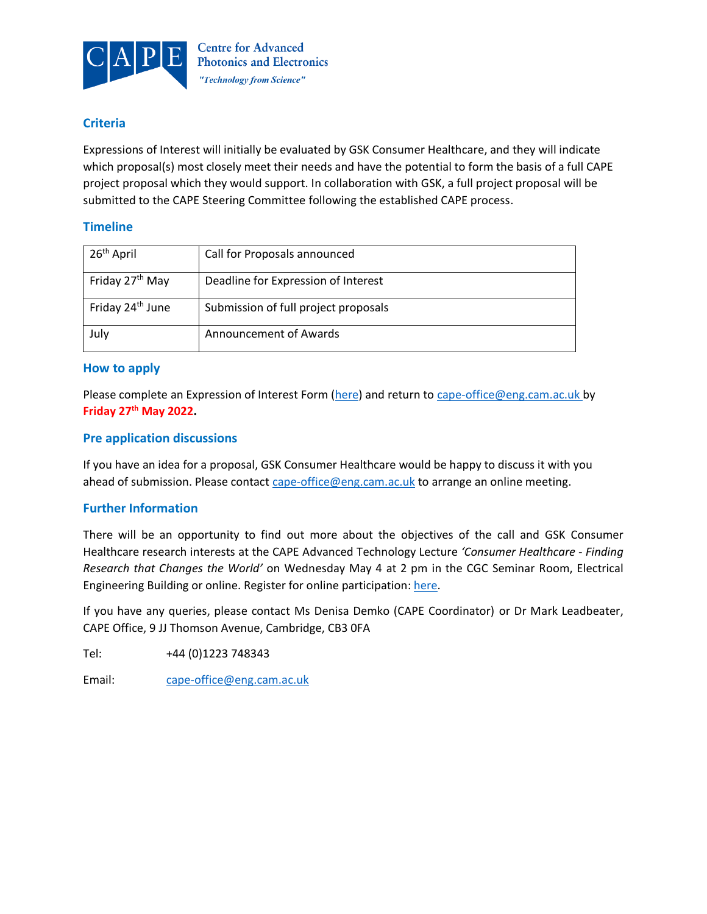

## **Criteria**

Expressions of Interest will initially be evaluated by GSK Consumer Healthcare, and they will indicate which proposal(s) most closely meet their needs and have the potential to form the basis of a full CAPE project proposal which they would support. In collaboration with GSK, a full project proposal will be submitted to the CAPE Steering Committee following the established CAPE process.

## **Timeline**

| 26 <sup>th</sup> April       | Call for Proposals announced         |
|------------------------------|--------------------------------------|
| Friday 27 <sup>th</sup> May  | Deadline for Expression of Interest  |
| Friday 24 <sup>th</sup> June | Submission of full project proposals |
| July                         | Announcement of Awards               |

## **How to apply**

Please complete an Expression of Interest Form [\(here\)](https://www.cape.eng.cam.ac.uk/sites/www.cape.eng.cam.ac.uk/files/cape_grand_challenge_healthcare_2022_outline_proposal_form.docx) and return to [cape-office@eng.cam.ac.uk](mailto:cape-office@eng.cam.ac.uk) by **Friday 27th May 2022.**

## **Pre application discussions**

If you have an idea for a proposal, GSK Consumer Healthcare would be happy to discuss it with you ahead of submission. Please contact [cape-office@eng.cam.ac.uk](mailto:cape-office@eng.cam.ac.uk) to arrange an online meeting.

## **Further Information**

There will be an opportunity to find out more about the objectives of the call and GSK Consumer Healthcare research interests at the CAPE Advanced Technology Lecture *'Consumer Healthcare - Finding Research that Changes the World'* on Wednesday May 4 at 2 pm in the CGC Seminar Room, Electrical Engineering Building or online. Register for online participation: [here.](https://www.cape.eng.cam.ac.uk/events/cape-advanced-technology-lecture-consumer-healthcare-finding-research-changes-world-tom-watt)

If you have any queries, please contact Ms Denisa Demko (CAPE Coordinator) or Dr Mark Leadbeater, CAPE Office, 9 JJ Thomson Avenue, Cambridge, CB3 0FA

Tel: +44 (0)1223 748343

Email: [cape-office@eng.cam.ac.uk](mailto:cape-office@eng.cam.ac.uk)